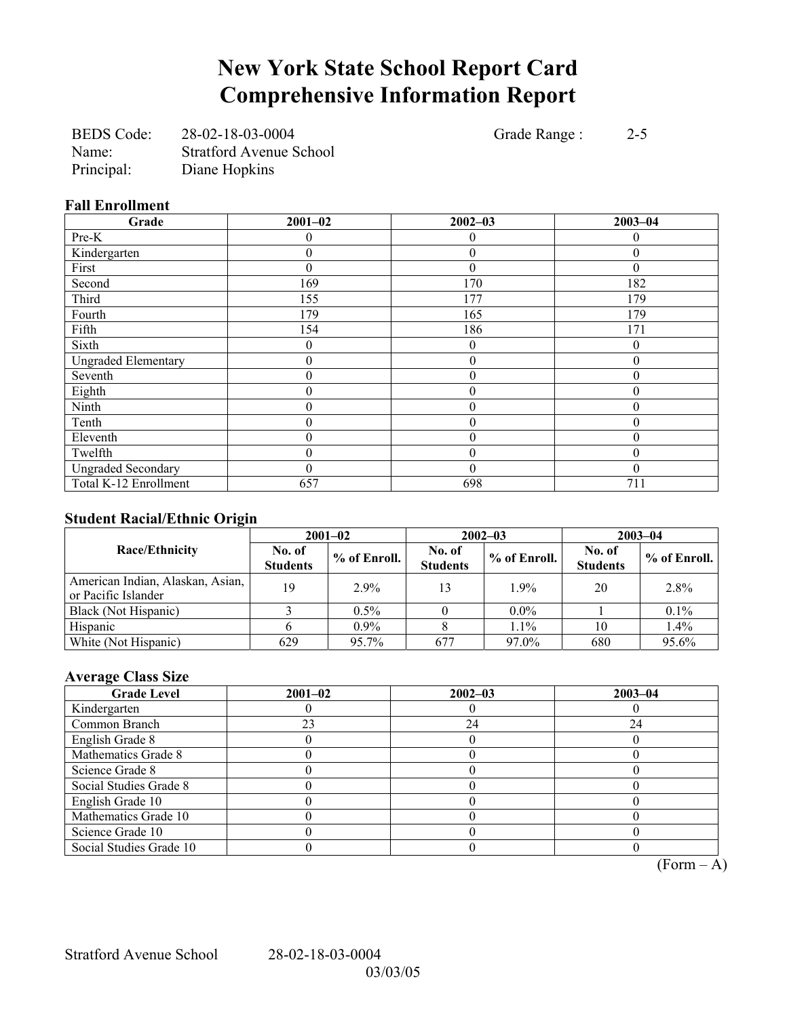# **New York State School Report Card Comprehensive Information Report**

BEDS Code: 28-02-18-03-0004 Grade Range : 2-5 Name: Stratford Avenue School Principal: Diane Hopkins

#### **Fall Enrollment**

| Grade                      | $2001 - 02$ | $2002 - 03$      | $2003 - 04$ |
|----------------------------|-------------|------------------|-------------|
| Pre-K                      |             | 0                | $\theta$    |
| Kindergarten               | 0           | $\mathbf{0}$     | $\theta$    |
| First                      | 0           | $\theta$         | $\Omega$    |
| Second                     | 169         | 170              | 182         |
| Third                      | 155         | 177              | 179         |
| Fourth                     | 179         | 165              | 179         |
| Fifth                      | 154         | 186              | 171         |
| Sixth                      | 0           | $\boldsymbol{0}$ | $\theta$    |
| <b>Ungraded Elementary</b> | 0           | $\boldsymbol{0}$ | $\theta$    |
| Seventh                    | 0           | $\boldsymbol{0}$ | 0           |
| Eighth                     | 0           | $\mathbf{0}$     | $\theta$    |
| Ninth                      | 0           | $\mathbf{0}$     | $\theta$    |
| Tenth                      | 0           | $\boldsymbol{0}$ | $\Omega$    |
| Eleventh                   | 0           | $\boldsymbol{0}$ | $\Omega$    |
| Twelfth                    | 0           | $\boldsymbol{0}$ | $\theta$    |
| <b>Ungraded Secondary</b>  | 0           | $\theta$         | $\Omega$    |
| Total K-12 Enrollment      | 657         | 698              | 711         |

### **Student Racial/Ethnic Origin**

|                                                         |                           | $2001 - 02$    |                           | $2002 - 03$  | $2003 - 04$               |              |
|---------------------------------------------------------|---------------------------|----------------|---------------------------|--------------|---------------------------|--------------|
| <b>Race/Ethnicity</b>                                   | No. of<br><b>Students</b> | $%$ of Enroll. | No. of<br><b>Students</b> | % of Enroll. | No. of<br><b>Students</b> | % of Enroll. |
| American Indian, Alaskan, Asian,<br>or Pacific Islander | 19                        | $2.9\%$        | 13                        | 1.9%         | 20                        | 2.8%         |
| Black (Not Hispanic)                                    |                           | $0.5\%$        |                           | $0.0\%$      |                           | 0.1%         |
| Hispanic                                                |                           | $0.9\%$        |                           | $1.1\%$      | 10                        | 1.4%         |
| White (Not Hispanic)                                    | 629                       | 95.7%          | 677                       | 97.0%        | 680                       | 95.6%        |

### **Average Class Size**

| <b>Grade Level</b>      | $2001 - 02$ | $2002 - 03$ | $2003 - 04$ |
|-------------------------|-------------|-------------|-------------|
| Kindergarten            |             |             |             |
| Common Branch           | 23          | 24          | 24          |
| English Grade 8         |             |             |             |
| Mathematics Grade 8     |             |             |             |
| Science Grade 8         |             |             |             |
| Social Studies Grade 8  |             |             |             |
| English Grade 10        |             |             |             |
| Mathematics Grade 10    |             |             |             |
| Science Grade 10        |             |             |             |
| Social Studies Grade 10 |             |             |             |

 $\overline{(Form - A)}$ 

Stratford Avenue School 28-02-18-03-0004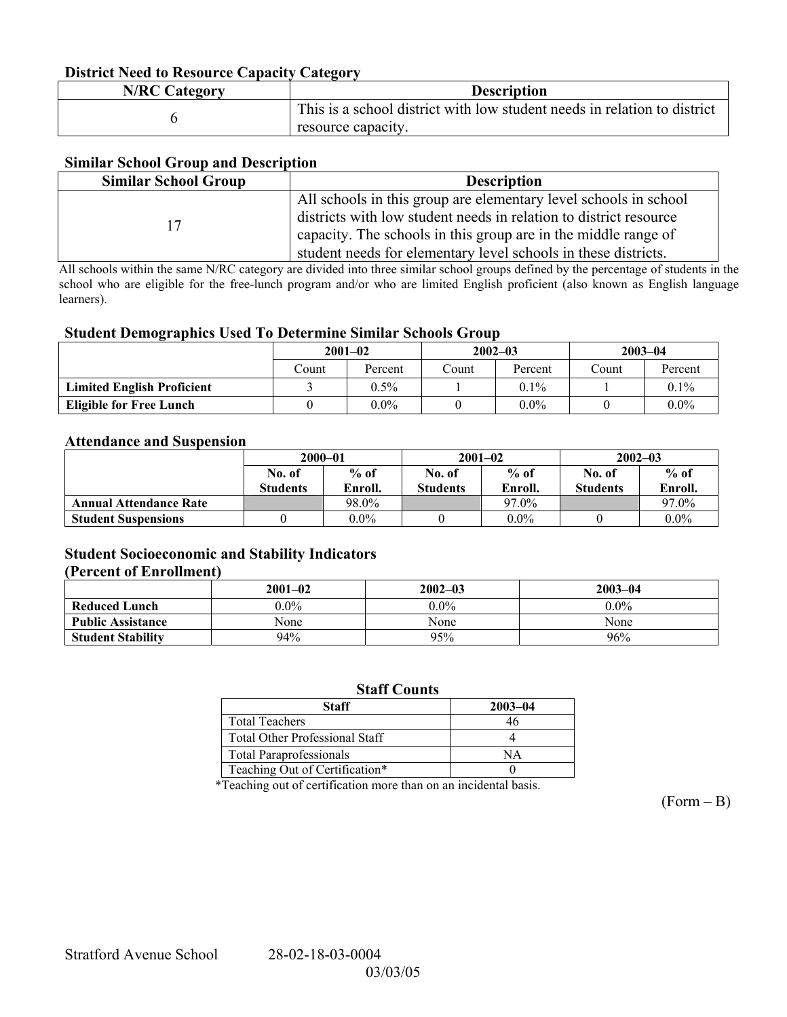#### **District Need to Resource Capacity Category**

| <b>N/RC Category</b> | <b>Description</b>                                                                             |
|----------------------|------------------------------------------------------------------------------------------------|
|                      | This is a school district with low student needs in relation to district<br>resource capacity. |

#### **Similar School Group and Description**

| <b>Similar School Group</b> | <b>Description</b>                                                                                                                                                                                                                                                        |
|-----------------------------|---------------------------------------------------------------------------------------------------------------------------------------------------------------------------------------------------------------------------------------------------------------------------|
|                             | All schools in this group are elementary level schools in school<br>districts with low student needs in relation to district resource<br>capacity. The schools in this group are in the middle range of<br>student needs for elementary level schools in these districts. |

All schools within the same N/RC category are divided into three similar school groups defined by the percentage of students in the school who are eligible for the free-lunch program and/or who are limited English proficient (also known as English language learners).

#### **Student Demographics Used To Determine Similar Schools Group**

|                                   | $2001 - 02$ |         |       | $2002 - 03$ |       | $2003 - 04$ |  |
|-----------------------------------|-------------|---------|-------|-------------|-------|-------------|--|
|                                   | Count       | Percent | Count | Percent     | Count | Percent     |  |
| <b>Limited English Proficient</b> |             | $0.5\%$ |       | $0.1\%$     |       | $0.1\%$     |  |
| <b>Eligible for Free Lunch</b>    |             | $0.0\%$ |       | $0.0\%$     |       | $0.0\%$     |  |

#### **Attendance and Suspension**

|                               | $2000 - 01$      |         |                 | $2001 - 02$ | $2002 - 03$     |         |
|-------------------------------|------------------|---------|-----------------|-------------|-----------------|---------|
|                               | $%$ of<br>No. of |         | No. of          | $%$ of      | No. of          | $%$ of  |
|                               | <b>Students</b>  | Enroll. | <b>Students</b> | Enroll.     | <b>Students</b> | Enroll. |
| <b>Annual Attendance Rate</b> |                  | 98.0%   |                 | 97.0%       |                 | 97.0%   |
| <b>Student Suspensions</b>    |                  | $0.0\%$ |                 | $0.0\%$     |                 | $0.0\%$ |

#### **Student Socioeconomic and Stability Indicators (Percent of Enrollment)**

|                          | $2001 - 02$ | $2002 - 03$ | $2003 - 04$ |
|--------------------------|-------------|-------------|-------------|
| <b>Reduced Lunch</b>     | $0.0\%$     | $0.0\%$     | $0.0\%$     |
| <b>Public Assistance</b> | None        | None        | None        |
| <b>Student Stability</b> | 94%         | 95%         | 96%         |

#### **Staff Counts**

| Staff                                 | 2003-04 |
|---------------------------------------|---------|
| <b>Total Teachers</b>                 |         |
| <b>Total Other Professional Staff</b> |         |
| <b>Total Paraprofessionals</b>        | NА      |
| Teaching Out of Certification*        |         |

\*Teaching out of certification more than on an incidental basis.

 $(Form - B)$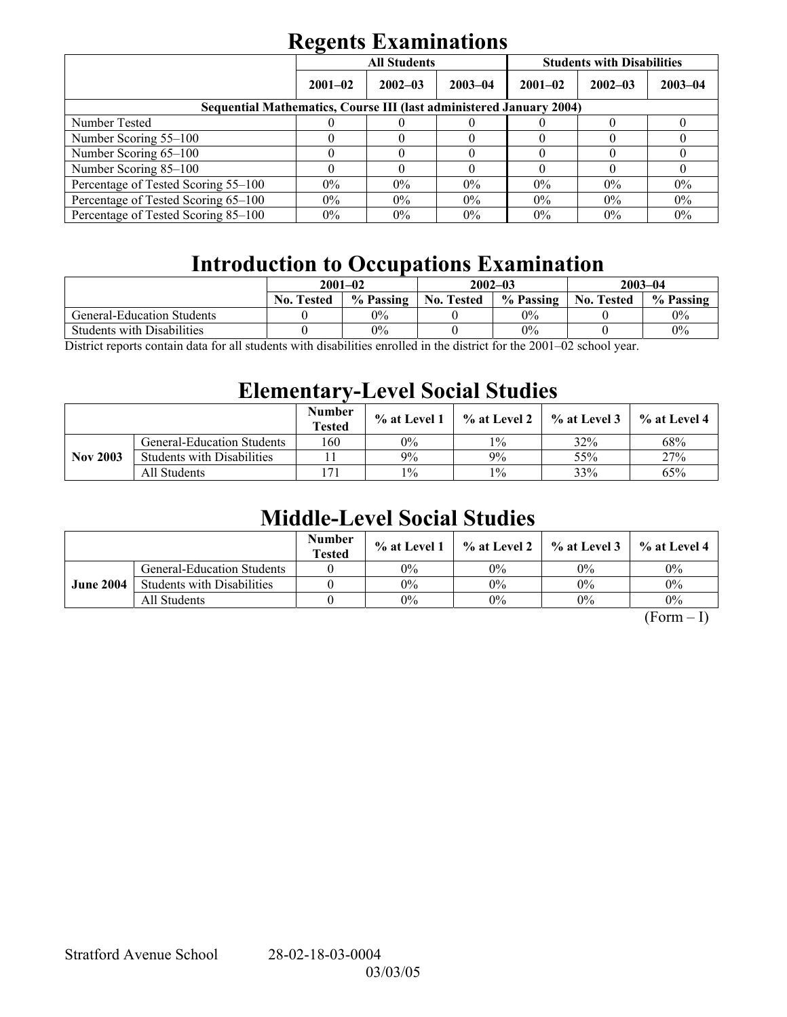# **Regents Examinations**

|                                                                            | $\overline{\phantom{0}}$ | <b>All Students</b> |             | <b>Students with Disabilities</b> |             |             |  |  |
|----------------------------------------------------------------------------|--------------------------|---------------------|-------------|-----------------------------------|-------------|-------------|--|--|
|                                                                            | $2001 - 02$              | $2002 - 03$         | $2003 - 04$ | $2001 - 02$                       | $2002 - 03$ | $2003 - 04$ |  |  |
| <b>Sequential Mathematics, Course III (last administered January 2004)</b> |                          |                     |             |                                   |             |             |  |  |
| Number Tested                                                              |                          |                     |             |                                   |             |             |  |  |
| Number Scoring 55–100                                                      |                          |                     |             |                                   |             |             |  |  |
| Number Scoring 65-100                                                      |                          |                     |             |                                   |             |             |  |  |
| Number Scoring 85-100                                                      |                          |                     |             |                                   |             |             |  |  |
| Percentage of Tested Scoring 55-100                                        | $0\%$                    | $0\%$               | $0\%$       | $0\%$                             | $0\%$       | $0\%$       |  |  |
| Percentage of Tested Scoring 65-100                                        | $0\%$                    | $0\%$               | $0\%$       | $0\%$                             | $0\%$       | 0%          |  |  |
| Percentage of Tested Scoring 85–100                                        | $0\%$                    | $0\%$               | $0\%$       | $0\%$                             | $0\%$       | $0\%$       |  |  |

## **Introduction to Occupations Examination**

|                                   | $2001 - 02$                                     |           |                   | $2002 - 03$ | $2003 - 04$       |           |
|-----------------------------------|-------------------------------------------------|-----------|-------------------|-------------|-------------------|-----------|
|                                   | <b>No. Tested</b>                               | % Passing | <b>No. Tested</b> | % Passing   | <b>No. Tested</b> | % Passing |
| <b>General-Education Students</b> |                                                 | 0%        |                   | $0\%$       |                   | $0\%$     |
| <b>Students with Disabilities</b> |                                                 | 0%        |                   | $0\%$       |                   | 0%        |
| $\mathbf{r}$<br>11                | $\cdot$ , $\cdot$ , $\cdot$ , $\cdot$ , $\cdot$ | $\cdots$  |                   | 0.00100     |                   |           |

District reports contain data for all students with disabilities enrolled in the district for the 2001–02 school year.

### **Elementary-Level Social Studies**

|                 |                                   | <b>Number</b><br><b>Tested</b> | % at Level 1 | % at Level 2 | $\%$ at Level 3 | % at Level 4 |
|-----------------|-----------------------------------|--------------------------------|--------------|--------------|-----------------|--------------|
|                 | <b>General-Education Students</b> | 160                            | 0%           | $1\%$        | 32%             | 68%          |
| <b>Nov 2003</b> | <b>Students with Disabilities</b> |                                | 9%           | 9%           | 55%             | 27%          |
|                 | All Students                      | $7^{\circ}$                    | $1\%$        | $1\%$        | 33%             | 65%          |

### **Middle-Level Social Studies**

|                  |                                   | <b>Number</b><br><b>Tested</b> | $\%$ at Level 1 |       | $\%$ at Level 2 $\%$ at Level 3 | $\%$ at Level 4 |
|------------------|-----------------------------------|--------------------------------|-----------------|-------|---------------------------------|-----------------|
| <b>June 2004</b> | <b>General-Education Students</b> |                                | 0%              | 0%    | $0\%$                           | $0\%$           |
|                  | <b>Students with Disabilities</b> |                                | 0%              | 0%    | $0\%$                           | $0\%$           |
|                  | All Students                      |                                | 0%              | $0\%$ | $0\%$                           | $0\%$           |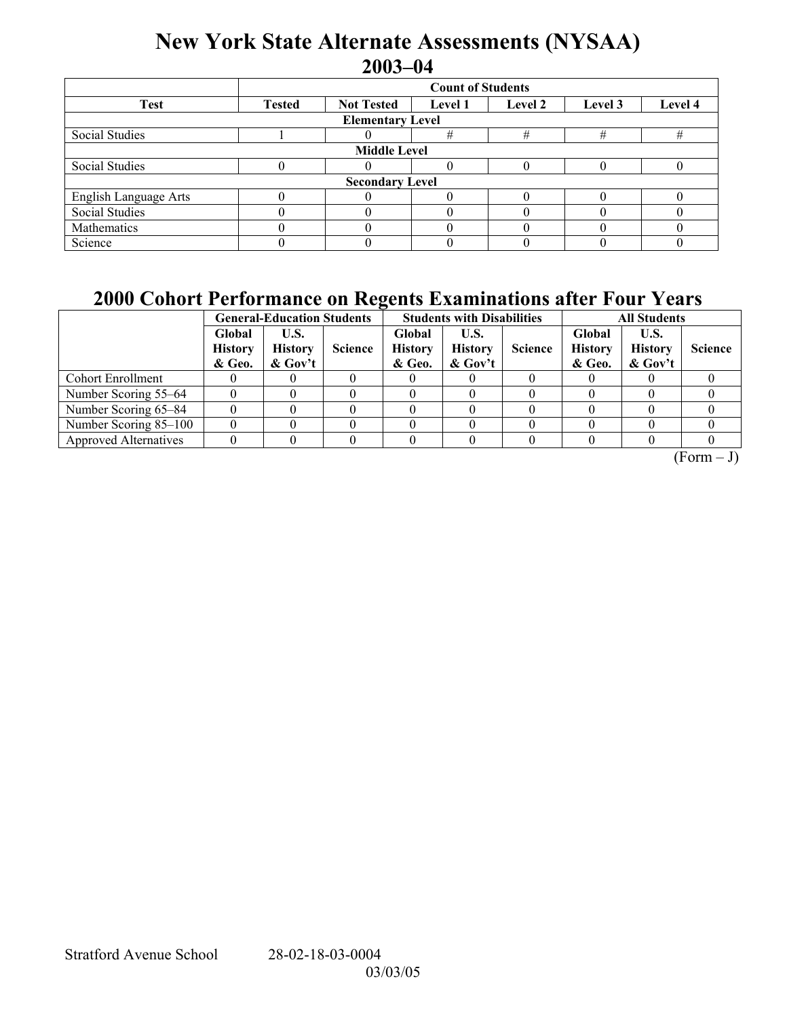### **New York State Alternate Assessments (NYSAA) 2003-04**

|                                    | <b>Count of Students</b> |                   |                |  |                    |  |  |  |  |  |
|------------------------------------|--------------------------|-------------------|----------------|--|--------------------|--|--|--|--|--|
| <b>Test</b>                        | <b>Tested</b>            | <b>Not Tested</b> | <b>Level 1</b> |  | Level 2<br>Level 3 |  |  |  |  |  |
| <b>Elementary Level</b>            |                          |                   |                |  |                    |  |  |  |  |  |
| #<br>#<br>Social Studies<br>#<br># |                          |                   |                |  |                    |  |  |  |  |  |
| <b>Middle Level</b>                |                          |                   |                |  |                    |  |  |  |  |  |
| Social Studies                     |                          |                   |                |  |                    |  |  |  |  |  |
| <b>Secondary Level</b>             |                          |                   |                |  |                    |  |  |  |  |  |
| English Language Arts              |                          |                   |                |  |                    |  |  |  |  |  |
| <b>Social Studies</b>              |                          |                   |                |  |                    |  |  |  |  |  |
| Mathematics                        |                          |                   |                |  |                    |  |  |  |  |  |
| Science                            |                          |                   |                |  |                    |  |  |  |  |  |

### **2000 Cohort Performance on Regents Examinations after Four Years**

|                              | . .<br><b>General-Education Students</b> |                                      |                |                                    | <b>Students with Disabilities</b>    |                | <b>All Students</b>                |                                     |                |
|------------------------------|------------------------------------------|--------------------------------------|----------------|------------------------------------|--------------------------------------|----------------|------------------------------------|-------------------------------------|----------------|
|                              | Global<br><b>History</b><br>& Geo.       | U.S.<br><b>History</b><br>$\&$ Gov't | <b>Science</b> | Global<br><b>History</b><br>& Geo. | U.S.<br><b>History</b><br>$\&$ Gov't | <b>Science</b> | Global<br><b>History</b><br>& Geo. | U.S.<br><b>History</b><br>$&$ Gov't | <b>Science</b> |
| <b>Cohort Enrollment</b>     |                                          |                                      |                |                                    |                                      |                |                                    |                                     |                |
| Number Scoring 55–64         |                                          |                                      |                |                                    |                                      |                |                                    |                                     |                |
| Number Scoring 65-84         |                                          |                                      |                |                                    |                                      |                |                                    |                                     |                |
| Number Scoring 85-100        |                                          |                                      |                |                                    |                                      |                |                                    |                                     |                |
| <b>Approved Alternatives</b> |                                          |                                      |                |                                    |                                      |                |                                    |                                     |                |

 $(Form - J)$